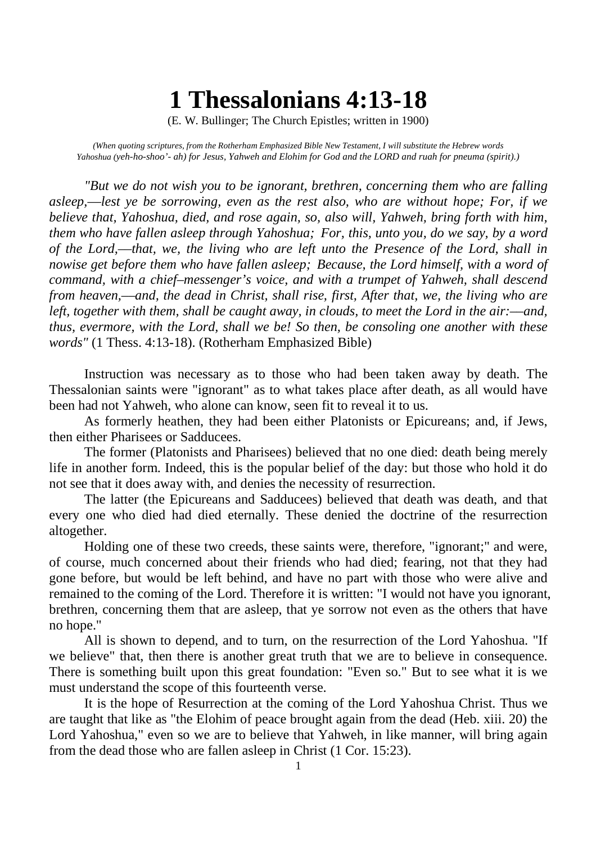## **1 Thessalonians 4:13-18**

(E. W. Bullinger; The Church Epistles; written in 1900)

*(When quoting scriptures, from the Rotherham Emphasized Bible New Testament, I will substitute the Hebrew words Yahoshua (yeh-ho-shoo'- ah) for Jesus, Yahweh and Elohim for God and the LORD and ruah for pneuma (spirit).)*

*"But we do not wish you to be ignorant, brethren, concerning them who are falling asleep,––lest ye be sorrowing, even as the rest also, who are without hope; For, if we believe that, Yahoshua, died, and rose again, so, also will, Yahweh, bring forth with him, them who have fallen asleep through Yahoshua; For, this, unto you, do we say, by a word of the Lord,––that, we, the living who are left unto the Presence of the Lord, shall in nowise get before them who have fallen asleep; Because, the Lord himself, with a word of command, with a chief–messenger's voice, and with a trumpet of Yahweh, shall descend from heaven,––and, the dead in Christ, shall rise, first, After that, we, the living who are left, together with them, shall be caught away, in clouds, to meet the Lord in the air:––and, thus, evermore, with the Lord, shall we be! So then, be consoling one another with these words"* (1 Thess. 4:13-18). (Rotherham Emphasized Bible)

Instruction was necessary as to those who had been taken away by death. The Thessalonian saints were "ignorant" as to what takes place after death, as all would have been had not Yahweh, who alone can know, seen fit to reveal it to us.

As formerly heathen, they had been either Platonists or Epicureans; and, if Jews, then either Pharisees or Sadducees.

The former (Platonists and Pharisees) believed that no one died: death being merely life in another form. Indeed, this is the popular belief of the day: but those who hold it do not see that it does away with, and denies the necessity of resurrection.

The latter (the Epicureans and Sadducees) believed that death was death, and that every one who died had died eternally. These denied the doctrine of the resurrection altogether.

Holding one of these two creeds, these saints were, therefore, "ignorant;" and were, of course, much concerned about their friends who had died; fearing, not that they had gone before, but would be left behind, and have no part with those who were alive and remained to the coming of the Lord. Therefore it is written: "I would not have you ignorant, brethren, concerning them that are asleep, that ye sorrow not even as the others that have no hope."

All is shown to depend, and to turn, on the resurrection of the Lord Yahoshua. "If we believe" that, then there is another great truth that we are to believe in consequence. There is something built upon this great foundation: "Even so." But to see what it is we must understand the scope of this fourteenth verse.

It is the hope of Resurrection at the coming of the Lord Yahoshua Christ. Thus we are taught that like as "the Elohim of peace brought again from the dead (Heb. xiii. 20) the Lord Yahoshua," even so we are to believe that Yahweh, in like manner, will bring again from the dead those who are fallen asleep in Christ (1 Cor. 15:23).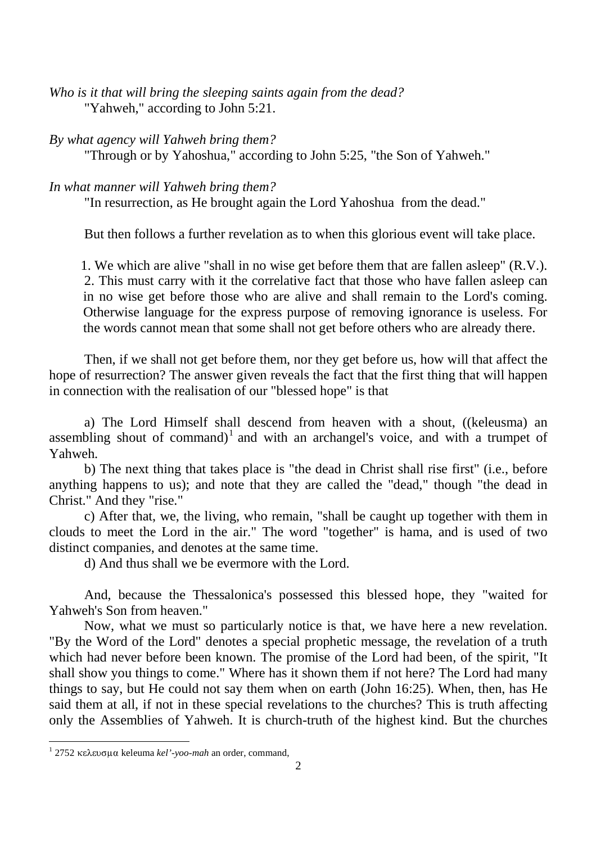*Who is it that will bring the sleeping saints again from the dead?* "Yahweh," according to John 5:21.

## *By what agency will Yahweh bring them?*

"Through or by Yahoshua," according to John 5:25, "the Son of Yahweh."

## *In what manner will Yahweh bring them?*

"In resurrection, as He brought again the Lord Yahoshua from the dead."

But then follows a further revelation as to when this glorious event will take place.

1. We which are alive "shall in no wise get before them that are fallen asleep" (R.V.). 2. This must carry with it the correlative fact that those who have fallen asleep can in no wise get before those who are alive and shall remain to the Lord's coming. Otherwise language for the express purpose of removing ignorance is useless. For the words cannot mean that some shall not get before others who are already there.

Then, if we shall not get before them, nor they get before us, how will that affect the hope of resurrection? The answer given reveals the fact that the first thing that will happen in connection with the realisation of our "blessed hope" is that

a) The Lord Himself shall descend from heaven with a shout, ((keleusma) an assembling shout of command)<sup>1</sup> and with an archangel's voice, and with a trumpet of Yahweh.

b) The next thing that takes place is "the dead in Christ shall rise first" (i.e., before anything happens to us); and note that they are called the "dead," though "the dead in Christ." And they "rise."

c) After that, we, the living, who remain, "shall be caught up together with them in clouds to meet the Lord in the air." The word "together" is hama, and is used of two distinct companies, and denotes at the same time.

d) And thus shall we be evermore with the Lord.

And, because the Thessalonica's possessed this blessed hope, they "waited for Yahweh's Son from heaven."

Now, what we must so particularly notice is that, we have here a new revelation. "By the Word of the Lord" denotes a special prophetic message, the revelation of a truth which had never before been known. The promise of the Lord had been, of the spirit, "It shall show you things to come." Where has it shown them if not here? The Lord had many things to say, but He could not say them when on earth (John 16:25). When, then, has He said them at all, if not in these special revelations to the churches? This is truth affecting only the Assemblies of Yahweh. It is church-truth of the highest kind. But the churches

 $12752$  κελευσμα keleuma kel'-yoo-mah an order, command,